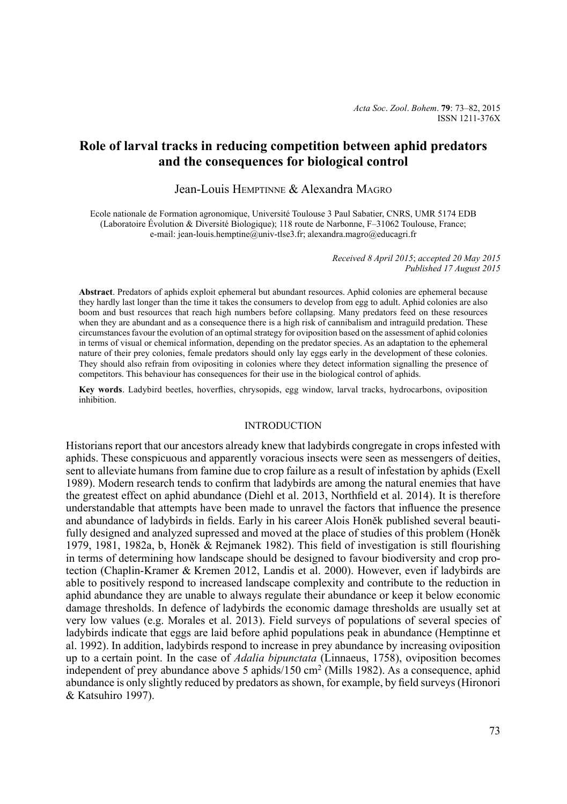# **Role of larval tracks in reducing competition between aphid predators and the consequences for biological control**

# Jean-Louis Hemptinne & Alexandra Magro

Ecole nationale de Formation agronomique, Université Toulouse 3 Paul Sabatier, CNRS, UMR 5174 EDB (Laboratoire Évolution & Diversité Biologique); 118 route de Narbonne, F–31062 Toulouse, France; e-mail: jean-louis.hemptine@univ-tlse3.fr; alexandra.magro@educagri.fr

> *Received 8 April 2015*; *accepted 20 May 2015 Published 17 August 2015*

**Abstract**. Predators of aphids exploit ephemeral but abundant resources. Aphid colonies are ephemeral because they hardly last longer than the time it takes the consumers to develop from egg to adult. Aphid colonies are also boom and bust resources that reach high numbers before collapsing. Many predators feed on these resources when they are abundant and as a consequence there is a high risk of cannibalism and intraguild predation. These circumstances favour the evolution of an optimal strategy for oviposition based on the assessment of aphid colonies in terms of visual or chemical information, depending on the predator species. As an adaptation to the ephemeral nature of their prey colonies, female predators should only lay eggs early in the development of these colonies. They should also refrain from ovipositing in colonies where they detect information signalling the presence of competitors. This behaviour has consequences for their use in the biological control of aphids.

**Key words**. Ladybird beetles, hoverflies, chrysopids, egg window, larval tracks, hydrocarbons, oviposition inhibition.

### **INTRODUCTION**

Historians report that our ancestors already knew that ladybirds congregate in crops infested with aphids. These conspicuous and apparently voracious insects were seen as messengers of deities, sent to alleviate humans from famine due to crop failure as a result of infestation by aphids (Exell 1989). Modern research tends to confirm that ladybirds are among the natural enemies that have the greatest effect on aphid abundance (Diehl et al. 2013, Northfield et al. 2014). It is therefore understandable that attempts have been made to unravel the factors that influence the presence and abundance of ladybirds in fields. Early in his career Alois Honěk published several beautifully designed and analyzed supressed and moved at the place of studies of this problem (Honěk 1979, 1981, 1982a, b, Honěk & Rejmanek 1982). This field of investigation is still flourishing in terms of determining how landscape should be designed to favour biodiversity and crop protection (Chaplin-Kramer & Kremen 2012, Landis et al. 2000). However, even if ladybirds are able to positively respond to increased landscape complexity and contribute to the reduction in aphid abundance they are unable to always regulate their abundance or keep it below economic damage thresholds. In defence of ladybirds the economic damage thresholds are usually set at very low values (e.g. Morales et al. 2013). Field surveys of populations of several species of ladybirds indicate that eggs are laid before aphid populations peak in abundance (Hemptinne et al. 1992). In addition, ladybirds respond to increase in prey abundance by increasing oviposition up to a certain point. In the case of *Adalia bipunctata* (Linnaeus, 1758), oviposition becomes independent of prey abundance above 5 aphids/150 cm<sup>2</sup> (Mills 1982). As a consequence, aphid abundance is only slightly reduced by predators as shown, for example, by field surveys (Hironori & Katsuhiro 1997).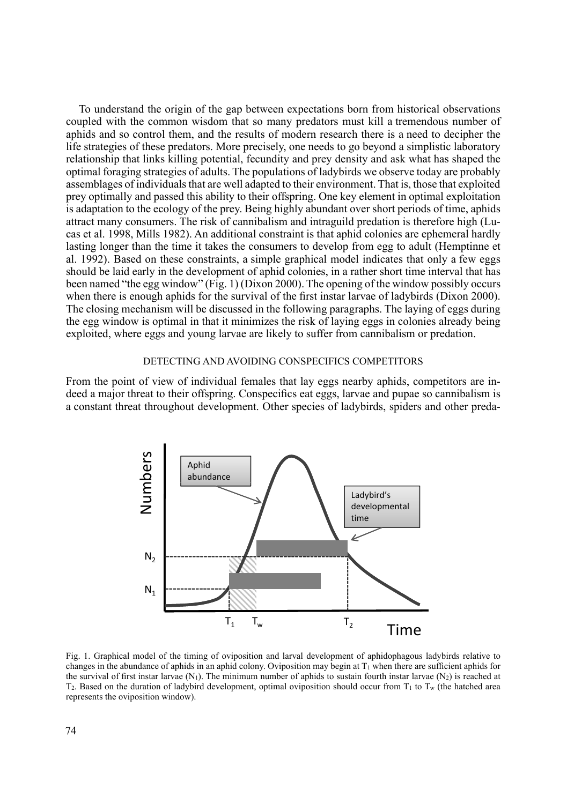To understand the origin of the gap between expectations born from historical observations coupled with the common wisdom that so many predators must kill a tremendous number of aphids and so control them, and the results of modern research there is a need to decipher the life strategies of these predators. More precisely, one needs to go beyond a simplistic laboratory relationship that links killing potential, fecundity and prey density and ask what has shaped the optimal foraging strategies of adults. The populations of ladybirds we observe today are probably assemblages of individuals that are well adapted to their environment. That is, those that exploited prey optimally and passed this ability to their offspring. One key element in optimal exploitation is adaptation to the ecology of the prey. Being highly abundant over short periods of time, aphids attract many consumers. The risk of cannibalism and intraguild predation is therefore high (Lucas et al. 1998, Mills 1982). An additional constraint is that aphid colonies are ephemeral hardly lasting longer than the time it takes the consumers to develop from egg to adult (Hemptinne et al. 1992). Based on these constraints, a simple graphical model indicates that only a few eggs should be laid early in the development of aphid colonies, in a rather short time interval that has been named "the egg window" (Fig. 1) (Dixon 2000). The opening of the window possibly occurs when there is enough aphids for the survival of the first instar larvae of ladybirds (Dixon 2000). The closing mechanism will be discussed in the following paragraphs. The laying of eggs during the egg window is optimal in that it minimizes the risk of laying eggs in colonies already being exploited, where eggs and young larvae are likely to suffer from cannibalism or predation.

# DETECTING AND AVOIDING CONSPECIFICS COMPETITORS

From the point of view of individual females that lay eggs nearby aphids, competitors are indeed a major threat to their offspring. Conspecifics eat eggs, larvae and pupae so cannibalism is a constant threat throughout development. Other species of ladybirds, spiders and other preda-



Fig. 1. Graphical model of the timing of oviposition and larval development of aphidophagous ladybirds relative to changes in the abundance of aphids in an aphid colony. Oviposition may begin at  $T_1$  when there are sufficient aphids for the survival of first instar larvae  $(N_1)$ . The minimum number of aphids to sustain fourth instar larvae  $(N_2)$  is reached at  $T_2$ . Based on the duration of ladybird development, optimal oviposition should occur from  $T_1$  to  $T_w$  (the hatched area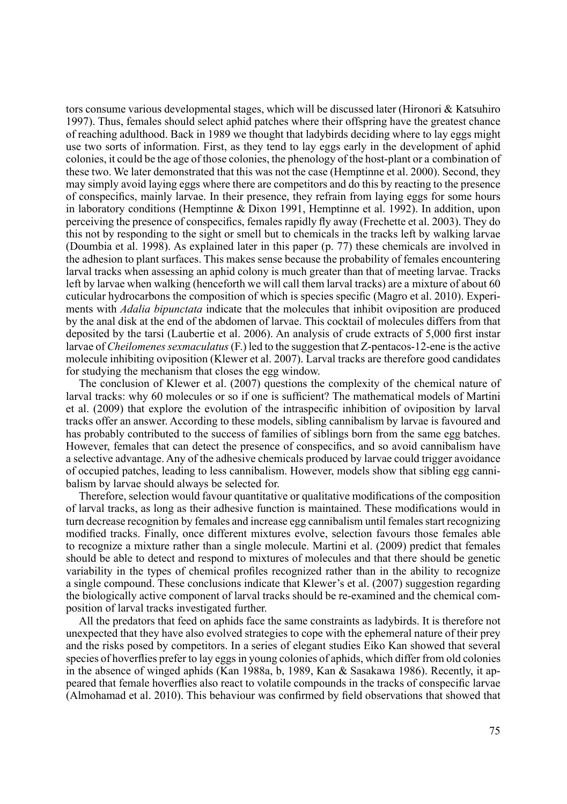tors consume various developmental stages, which will be discussed later (Hironori & Katsuhiro 1997). Thus, females should select aphid patches where their offspring have the greatest chance of reaching adulthood. Back in 1989 we thought that ladybirds deciding where to lay eggs might use two sorts of information. First, as they tend to lay eggs early in the development of aphid colonies, it could be the age of those colonies, the phenology of the host-plant or a combination of these two. We later demonstrated that this was not the case (Hemptinne et al. 2000). Second, they may simply avoid laying eggs where there are competitors and do this by reacting to the presence of conspecifics, mainly larvae. In their presence, they refrain from laying eggs for some hours in laboratory conditions (Hemptinne & Dixon 1991, Hemptinne et al. 1992). In addition, upon perceiving the presence of conspecifics, females rapidly fly away (Frechette et al. 2003). They do this not by responding to the sight or smell but to chemicals in the tracks left by walking larvae (Doumbia et al. 1998). As explained later in this paper (p. 77) these chemicals are involved in the adhesion to plant surfaces. This makes sense because the probability of females encountering larval tracks when assessing an aphid colony is much greater than that of meeting larvae. Tracks left by larvae when walking (henceforth we will call them larval tracks) are a mixture of about 60 cuticular hydrocarbons the composition of which is species specific (Magro et al. 2010). Experiments with *Adalia bipunctata* indicate that the molecules that inhibit oviposition are produced by the anal disk at the end of the abdomen of larvae. This cocktail of molecules differs from that deposited by the tarsi (Laubertie et al. 2006). An analysis of crude extracts of 5,000 first instar larvae of *Cheilomenes sexmaculatus* (F.) led to the suggestion that Z-pentacos-12-ene is the active molecule inhibiting oviposition (Klewer et al. 2007). Larval tracks are therefore good candidates for studying the mechanism that closes the egg window.

The conclusion of Klewer et al. (2007) questions the complexity of the chemical nature of larval tracks: why 60 molecules or so if one is sufficient? The mathematical models of Martini et al. (2009) that explore the evolution of the intraspecific inhibition of oviposition by larval tracks offer an answer. According to these models, sibling cannibalism by larvae is favoured and has probably contributed to the success of families of siblings born from the same egg batches. However, females that can detect the presence of conspecifics, and so avoid cannibalism have a selective advantage. Any of the adhesive chemicals produced by larvae could trigger avoidance of occupied patches, leading to less cannibalism. However, models show that sibling egg cannibalism by larvae should always be selected for.

Therefore, selection would favour quantitative or qualitative modifications of the composition of larval tracks, as long as their adhesive function is maintained. These modifications would in turn decrease recognition by females and increase egg cannibalism until females start recognizing modified tracks. Finally, once different mixtures evolve, selection favours those females able to recognize a mixture rather than a single molecule. Martini et al. (2009) predict that females should be able to detect and respond to mixtures of molecules and that there should be genetic variability in the types of chemical profiles recognized rather than in the ability to recognize a single compound. These conclusions indicate that Klewer's et al. (2007) suggestion regarding the biologically active component of larval tracks should be re-examined and the chemical composition of larval tracks investigated further.

All the predators that feed on aphids face the same constraints as ladybirds. It is therefore not unexpected that they have also evolved strategies to cope with the ephemeral nature of their prey and the risks posed by competitors. In a series of elegant studies Eiko Kan showed that several species of hoverflies prefer to lay eggs in young colonies of aphids, which differ from old colonies in the absence of winged aphids (Kan 1988a, b, 1989, Kan & Sasakawa 1986). Recently, it appeared that female hoverflies also react to volatile compounds in the tracks of conspecific larvae (Almohamad et al. 2010). This behaviour was confirmed by field observations that showed that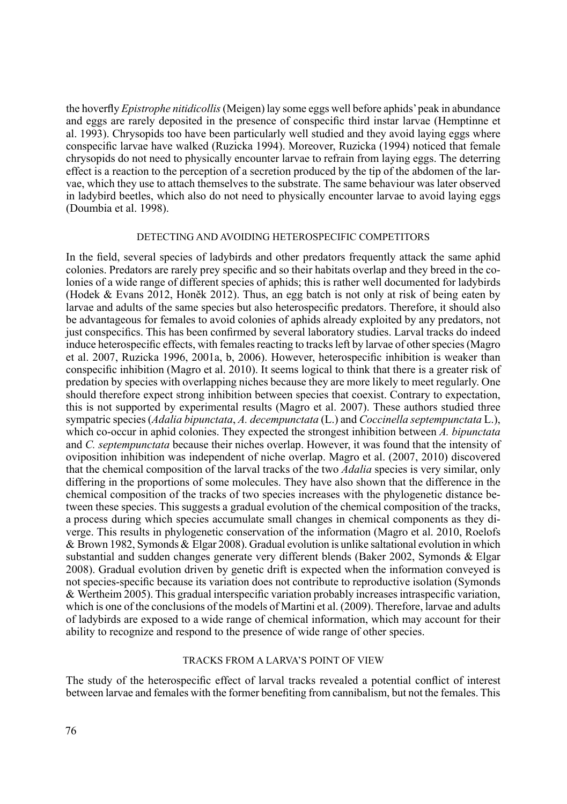the hoverfly *Epistrophe nitidicollis* (Meigen) lay some eggs well before aphids' peak in abundance and eggs are rarely deposited in the presence of conspecific third instar larvae (Hemptinne et al. 1993). Chrysopids too have been particularly well studied and they avoid laying eggs where conspecific larvae have walked (Ruzicka 1994). Moreover, Ruzicka (1994) noticed that female chrysopids do not need to physically encounter larvae to refrain from laying eggs. The deterring effect is a reaction to the perception of a secretion produced by the tip of the abdomen of the larvae, which they use to attach themselves to the substrate. The same behaviour was later observed in ladybird beetles, which also do not need to physically encounter larvae to avoid laying eggs (Doumbia et al. 1998).

### Detecting and avoiding heterospecific competitors

In the field, several species of ladybirds and other predators frequently attack the same aphid colonies. Predators are rarely prey specific and so their habitats overlap and they breed in the colonies of a wide range of different species of aphids; this is rather well documented for ladybirds (Hodek & Evans 2012, Honěk 2012). Thus, an egg batch is not only at risk of being eaten by larvae and adults of the same species but also heterospecific predators. Therefore, it should also be advantageous for females to avoid colonies of aphids already exploited by any predators, not just conspecifics. This has been confirmed by several laboratory studies. Larval tracks do indeed induce heterospecific effects, with females reacting to tracks left by larvae of other species (Magro et al. 2007, Ruzicka 1996, 2001a, b, 2006). However, heterospecific inhibition is weaker than conspecific inhibition (Magro et al. 2010). It seems logical to think that there is a greater risk of predation by species with overlapping niches because they are more likely to meet regularly. One should therefore expect strong inhibition between species that coexist. Contrary to expectation, this is not supported by experimental results (Magro et al. 2007). These authors studied three sympatric species (*Adalia bipunctata*, *A. decempunctata* (L.) and *Coccinella septempunctata* L.), which co-occur in aphid colonies. They expected the strongest inhibition between *A. bipunctata* and *C. septempunctata* because their niches overlap. However, it was found that the intensity of oviposition inhibition was independent of niche overlap. Magro et al. (2007, 2010) discovered that the chemical composition of the larval tracks of the two *Adalia* species is very similar, only differing in the proportions of some molecules. They have also shown that the difference in the chemical composition of the tracks of two species increases with the phylogenetic distance between these species. This suggests a gradual evolution of the chemical composition of the tracks, a process during which species accumulate small changes in chemical components as they diverge. This results in phylogenetic conservation of the information (Magro et al. 2010, Roelofs & Brown 1982, Symonds & Elgar 2008). Gradual evolution is unlike saltational evolution in which substantial and sudden changes generate very different blends (Baker 2002, Symonds & Elgar 2008). Gradual evolution driven by genetic drift is expected when the information conveyed is not species-specific because its variation does not contribute to reproductive isolation (Symonds & Wertheim 2005). This gradual interspecific variation probably increases intraspecific variation, which is one of the conclusions of the models of Martini et al. (2009). Therefore, larvae and adults of ladybirds are exposed to a wide range of chemical information, which may account for their ability to recognize and respond to the presence of wide range of other species.

## Tracks from a larva's point of view

The study of the heterospecific effect of larval tracks revealed a potential conflict of interest between larvae and females with the former benefiting from cannibalism, but not the females. This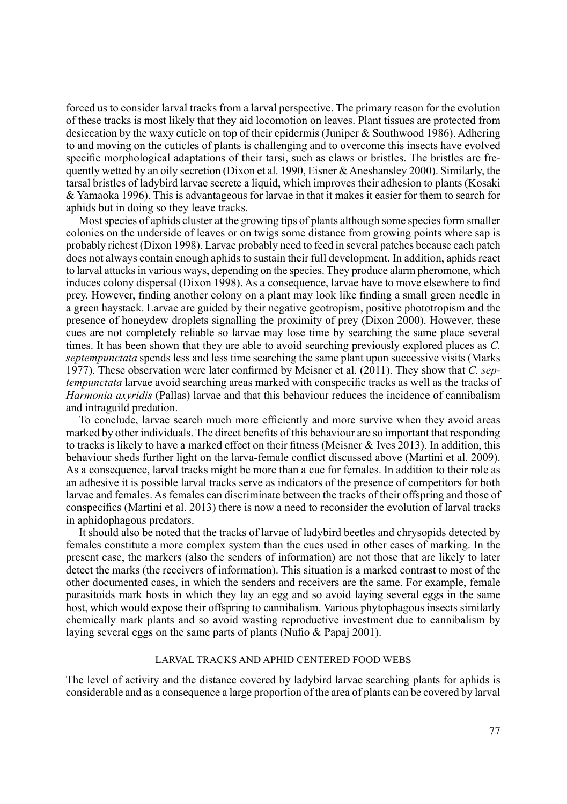forced us to consider larval tracks from a larval perspective. The primary reason for the evolution of these tracks is most likely that they aid locomotion on leaves. Plant tissues are protected from desiccation by the waxy cuticle on top of their epidermis (Juniper & Southwood 1986). Adhering to and moving on the cuticles of plants is challenging and to overcome this insects have evolved specific morphological adaptations of their tarsi, such as claws or bristles. The bristles are frequently wetted by an oily secretion (Dixon et al. 1990, Eisner &Aneshansley 2000). Similarly, the tarsal bristles of ladybird larvae secrete a liquid, which improves their adhesion to plants (Kosaki & Yamaoka 1996). This is advantageous for larvae in that it makes it easier for them to search for aphids but in doing so they leave tracks.

Most species of aphids cluster at the growing tips of plants although some species form smaller colonies on the underside of leaves or on twigs some distance from growing points where sap is probably richest (Dixon 1998). Larvae probably need to feed in several patches because each patch does not always contain enough aphids to sustain their full development. In addition, aphids react to larval attacks in various ways, depending on the species. They produce alarm pheromone, which induces colony dispersal (Dixon 1998). As a consequence, larvae have to move elsewhere to find prey. However, finding another colony on a plant may look like finding a small green needle in a green haystack. Larvae are guided by their negative geotropism, positive phototropism and the presence of honeydew droplets signalling the proximity of prey (Dixon 2000). However, these cues are not completely reliable so larvae may lose time by searching the same place several times. It has been shown that they are able to avoid searching previously explored places as *C. septempunctata* spends less and less time searching the same plant upon successive visits (Marks 1977). These observation were later confirmed by Meisner et al. (2011). They show that *C. septempunctata* larvae avoid searching areas marked with conspecific tracks as well as the tracks of *Harmonia axyridis* (Pallas) larvae and that this behaviour reduces the incidence of cannibalism and intraguild predation.

To conclude, larvae search much more efficiently and more survive when they avoid areas marked by other individuals. The direct benefits of this behaviour are so important that responding to tracks is likely to have a marked effect on their fitness (Meisner & Ives 2013). In addition, this behaviour sheds further light on the larva-female conflict discussed above (Martini et al. 2009). As a consequence, larval tracks might be more than a cue for females. In addition to their role as an adhesive it is possible larval tracks serve as indicators of the presence of competitors for both larvae and females. As females can discriminate between the tracks of their offspring and those of conspecifics (Martini et al. 2013) there is now a need to reconsider the evolution of larval tracks in aphidophagous predators.

It should also be noted that the tracks of larvae of ladybird beetles and chrysopids detected by females constitute a more complex system than the cues used in other cases of marking. In the present case, the markers (also the senders of information) are not those that are likely to later detect the marks (the receivers of information). This situation is a marked contrast to most of the other documented cases, in which the senders and receivers are the same. For example, female parasitoids mark hosts in which they lay an egg and so avoid laying several eggs in the same host, which would expose their offspring to cannibalism. Various phytophagous insects similarly chemically mark plants and so avoid wasting reproductive investment due to cannibalism by laying several eggs on the same parts of plants (Nufio & Papaj 2001).

## Larval tracks and aphid centered food webs

The level of activity and the distance covered by ladybird larvae searching plants for aphids is considerable and as a consequence a large proportion of the area of plants can be covered by larval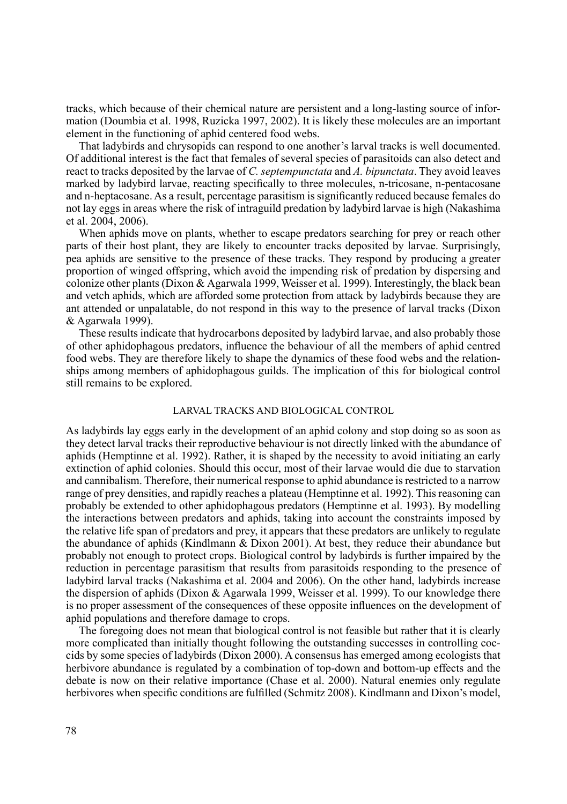tracks, which because of their chemical nature are persistent and a long-lasting source of information (Doumbia et al. 1998, Ruzicka 1997, 2002). It is likely these molecules are an important element in the functioning of aphid centered food webs.

That ladybirds and chrysopids can respond to one another's larval tracks is well documented. Of additional interest is the fact that females of several species of parasitoids can also detect and react to tracks deposited by the larvae of *C. septempunctata* and *A. bipunctata*. They avoid leaves marked by ladybird larvae, reacting specifically to three molecules, n-tricosane, n-pentacosane and n-heptacosane. As a result, percentage parasitism is significantly reduced because females do not lay eggs in areas where the risk of intraguild predation by ladybird larvae is high (Nakashima et al. 2004, 2006).

When aphids move on plants, whether to escape predators searching for prey or reach other parts of their host plant, they are likely to encounter tracks deposited by larvae. Surprisingly, pea aphids are sensitive to the presence of these tracks. They respond by producing a greater proportion of winged offspring, which avoid the impending risk of predation by dispersing and colonize other plants (Dixon & Agarwala 1999, Weisser et al. 1999). Interestingly, the black bean and vetch aphids, which are afforded some protection from attack by ladybirds because they are ant attended or unpalatable, do not respond in this way to the presence of larval tracks (Dixon & Agarwala 1999).

These results indicate that hydrocarbons deposited by ladybird larvae, and also probably those of other aphidophagous predators, influence the behaviour of all the members of aphid centred food webs. They are therefore likely to shape the dynamics of these food webs and the relationships among members of aphidophagous guilds. The implication of this for biological control still remains to be explored.

## Larval tracks and biological control

As ladybirds lay eggs early in the development of an aphid colony and stop doing so as soon as they detect larval tracks their reproductive behaviour is not directly linked with the abundance of aphids (Hemptinne et al. 1992). Rather, it is shaped by the necessity to avoid initiating an early extinction of aphid colonies. Should this occur, most of their larvae would die due to starvation and cannibalism. Therefore, their numerical response to aphid abundance is restricted to a narrow range of prey densities, and rapidly reaches a plateau (Hemptinne et al. 1992). This reasoning can probably be extended to other aphidophagous predators (Hemptinne et al. 1993). By modelling the interactions between predators and aphids, taking into account the constraints imposed by the relative life span of predators and prey, it appears that these predators are unlikely to regulate the abundance of aphids (Kindlmann & Dixon 2001). At best, they reduce their abundance but probably not enough to protect crops. Biological control by ladybirds is further impaired by the reduction in percentage parasitism that results from parasitoids responding to the presence of ladybird larval tracks (Nakashima et al. 2004 and 2006). On the other hand, ladybirds increase the dispersion of aphids (Dixon & Agarwala 1999, Weisser et al. 1999). To our knowledge there is no proper assessment of the consequences of these opposite influences on the development of aphid populations and therefore damage to crops.

The foregoing does not mean that biological control is not feasible but rather that it is clearly more complicated than initially thought following the outstanding successes in controlling coccids by some species of ladybirds (Dixon 2000). A consensus has emerged among ecologists that herbivore abundance is regulated by a combination of top-down and bottom-up effects and the debate is now on their relative importance (Chase et al. 2000). Natural enemies only regulate herbivores when specific conditions are fulfilled (Schmitz 2008). Kindlmann and Dixon's model,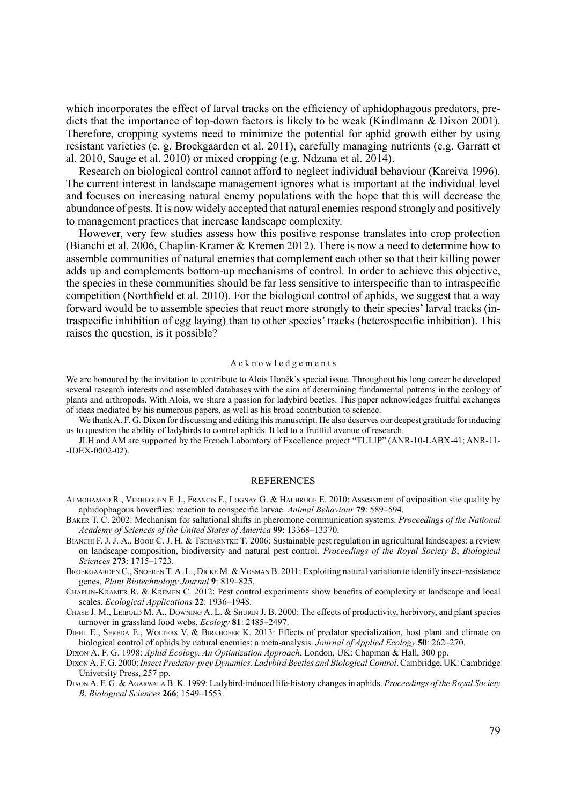which incorporates the effect of larval tracks on the efficiency of aphidophagous predators, predicts that the importance of top-down factors is likely to be weak (Kindlmann & Dixon 2001). Therefore, cropping systems need to minimize the potential for aphid growth either by using resistant varieties (e. g. Broekgaarden et al. 2011), carefully managing nutrients (e.g. Garratt et al. 2010, Sauge et al. 2010) or mixed cropping (e.g. Ndzana et al. 2014).

Research on biological control cannot afford to neglect individual behaviour (Kareiva 1996). The current interest in landscape management ignores what is important at the individual level and focuses on increasing natural enemy populations with the hope that this will decrease the abundance of pests. It is now widely accepted that natural enemies respond strongly and positively to management practices that increase landscape complexity.

However, very few studies assess how this positive response translates into crop protection (Bianchi et al. 2006, Chaplin-Kramer & Kremen 2012). There is now a need to determine how to assemble communities of natural enemies that complement each other so that their killing power adds up and complements bottom-up mechanisms of control. In order to achieve this objective, the species in these communities should be far less sensitive to interspecific than to intraspecific competition (Northfield et al. 2010). For the biological control of aphids, we suggest that a way forward would be to assemble species that react more strongly to their species' larval tracks (intraspecific inhibition of egg laying) than to other species' tracks (heterospecific inhibition). This raises the question, is it possible?

#### A c k n o w l e d g e m e n t s

We are honoured by the invitation to contribute to Alois Honěk's special issue. Throughout his long career he developed several research interests and assembled databases with the aim of determining fundamental patterns in the ecology of plants and arthropods. With Alois, we share a passion for ladybird beetles. This paper acknowledges fruitful exchanges of ideas mediated by his numerous papers, as well as his broad contribution to science.

We thank A. F. G. Dixon for discussing and editing this manuscript. He also deserves our deepest gratitude for inducing us to question the ability of ladybirds to control aphids. It led to a fruitful avenue of research.

JLH and AM are supported by the French Laboratory of Excellence project "TULIP" (ANR-10-LABX-41; ANR-11- -IDEX-0002-02).

#### **REFERENCES**

- Almohamad R., Verheggen F. J., Francis F., Lognay G. & Haubruge E. 2010: Assessment of oviposition site quality by aphidophagous hoverflies: reaction to conspecific larvae. *Animal Behaviour* **79**: 589–594.
- Baker T. C. 2002: Mechanism for saltational shifts in pheromone communication systems. *Proceedings of the National Academy of Sciences of the United States of America* **99**: 13368–13370.
- BIANCHI F. J. J. A., BOOIJ C. J. H. & Tscharntke T. 2006: Sustainable pest regulation in agricultural landscapes: a review on landscape composition, biodiversity and natural pest control. *Proceedings of the Royal Society B*, *Biological Sciences* **273**: 1715–1723.
- BROEKGAARDEN C., SNOEREN T. A. L., DICKE M. & VOSMAN B. 2011: Exploiting natural variation to identify insect-resistance genes. *Plant Biotechnology Journal* **9**: 819–825.
- Chaplin-Kramer R. & Kremen C. 2012: Pest control experiments show benefits of complexity at landscape and local scales. *Ecological Applications* **22**: 1936–1948.
- Chase J. M., Leibold M. A., Downing A. L. & Shurin J. B. 2000: The effects of productivity, herbivory, and plant species turnover in grassland food webs. *Ecology* **81**: 2485–2497.
- Diehl E., Sereda E., Wolters V. & Birkhofer K. 2013: Effects of predator specialization, host plant and climate on biological control of aphids by natural enemies: a meta-analysis. *Journal of Applied Ecology* **50**: 262–270.

Dixon A. F. G. 1998: *Aphid Ecology. An Optimization Approach*. London, UK: Chapman & Hall, 300 pp.

- Dixon A. F. G. 2000: *Insect Predator-prey Dynamics. Ladybird Beetles and Biological Control*. Cambridge, UK: Cambridge University Press, 257 pp.
- Dixon A. F. G. & Agarwala B. K. 1999: Ladybird-induced life-history changes in aphids. *Proceedings of the Royal Society B*, *Biological Sciences* **266**: 1549–1553.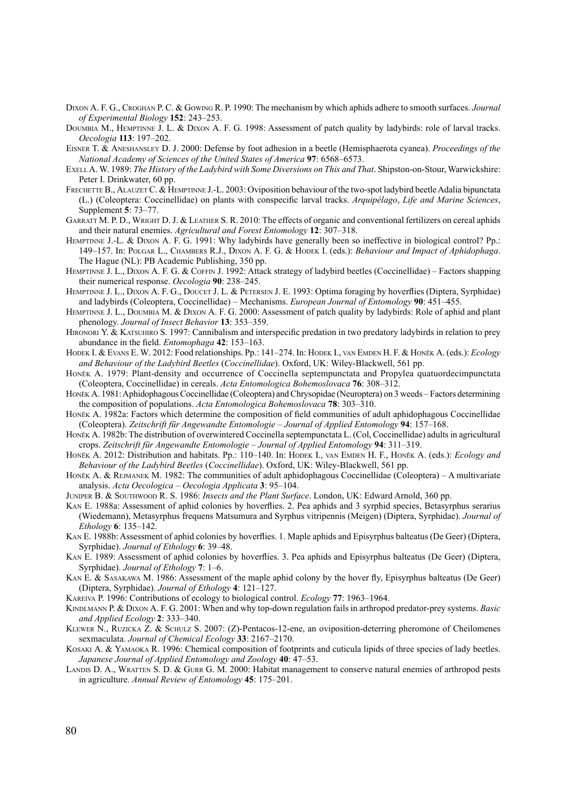- Dixon A. F. G., Croghan P. C. & Gowing R. P. 1990: The mechanism by which aphids adhere to smooth surfaces. *Journal of Experimental Biology* **152**: 243–253.
- Doumbia M., Hemptinne J. L. & Dixon A. F. G. 1998: Assessment of patch quality by ladybirds: role of larval tracks. *Oecologia* **113**: 197–202.
- Eisner T. & Aneshansley D. J. 2000: Defense by foot adhesion in a beetle (Hemisphaerota cyanea). *Proceedings of the National Academy of Sciences of the United States of America* **97**: 6568–6573.
- Exell A. W. 1989: *The History of the Ladybird with Some Diversions on This and That*. Shipston-on-Stour, Warwickshire: Peter I. Drinkwater, 60 pp.
- FRECHETTE B., ALAUZET C. & HEMPTINNE J.-L. 2003: Oviposition behaviour of the two-spot ladybird beetle Adalia bipunctata (L.) (Coleoptera: Coccinellidae) on plants with conspecific larval tracks. *Arquipélago*, *Life and Marine Sciences*, Supplement **5**: 73–77.
- GARRATT M. P. D., WRIGHT D. J. & LEATHER S. R. 2010: The effects of organic and conventional fertilizers on cereal aphids and their natural enemies. *Agricultural and Forest Entomology* **12**: 307–318.
- Hemptinne J.-L. & Dixon A. F. G. 1991: Why ladybirds have generally been so ineffective in biological control? Pp.: 149–157. In: Polgar L., Chambers R.J., Dixon A. F. G. & Hodek I. (eds.): *Behaviour and Impact of Aphidophaga*. The Hague (NL): PB Academic Publishing, 350 pp.
- Hemptinne J. L., Dixon A. F. G. & Coffin J. 1992: Attack strategy of ladybird beetles (Coccinellidae) Factors shapping their numerical response. *Oecologia* **90**: 238–245.
- HEMPTINNE J. L., DIXON A. F. G., DOUCET J. L. & PETERSEN J. E. 1993: Optima foraging by hoverflies (Diptera, Syrphidae) and ladybirds (Coleoptera, Coccinellidae) – Mechanisms. *European Journal of Entomology* **90**: 451–455.
- Hemptinne J. L., Doumbia M. & Dixon A. F. G. 2000: Assessment of patch quality by ladybirds: Role of aphid and plant phenology. *Journal of Insect Behavior* **13**: 353–359.
- HIRONORI Y. & KATSUHIRO S. 1997: Cannibalism and interspecific predation in two predatory ladybirds in relation to prey abundance in the field. *Entomophaga* **42**: 153–163.
- Hodek I. & Evans E. W. 2012: Food relationships. Pp.: 141–274. In: Hodek I., van Emden H. F. & Honěk A. (eds.): *Ecology and Behaviour of the Ladybird Beetles* (*Coccinellidae*). Oxford, UK: Wiley-Blackwell, 561 pp.
- Honěk A. 1979: Plant-density and occurrence of Coccinella septempunctata and Propylea quatuordecimpunctata (Coleoptera, Coccinellidae) in cereals. *Acta Entomologica Bohemoslovaca* **76**: 308–312.
- Honěk A. 1981: Aphidophagous Coccinellidae (Coleoptera) and Chrysopidae (Neuroptera) on 3 weeds Factors determining the composition of populations. *Acta Entomologica Bohemoslovaca* **78**: 303–310.
- Honěk A. 1982a: Factors which determine the composition of field communities of adult aphidophagous Coccinellidae (Coleoptera). *Zeitschrift für Angewandte Entomologie – Journal of Applied Entomology* **94**: 157–168.
- Honěk A. 1982b: The distribution of overwintered Coccinella septempunctata L. (Col, Coccinellidae) adults in agricultural crops. *Zeitschrift für Angewandte Entomologie – Journal of Applied Entomology* **94**: 311–319.
- HONĚK A. 2012: Distribution and habitats. Pp.: 110–140. In: HODEK I., VAN EMDEN H. F., HONĚK A. (eds.): *Ecology and Behaviour of the Ladybird Beetles* (*Coccinellidae*). Oxford, UK: Wiley-Blackwell, 561 pp.
- HONĚK A. & REJMANEK M. 1982: The communities of adult aphidophagous Coccinellidae (Coleoptera) A multivariate analysis. *Acta Oecologica – Oecologia Applicata* **3**: 95–104.
- Juniper B. & Southwood R. S. 1986: *Insects and the Plant Surface*. London, UK: Edward Arnold, 360 pp.
- Kan E. 1988a: Assessment of aphid colonies by hoverflies. 2. Pea aphids and 3 syrphid species, Betasyrphus serarius (Wiedemann), Metasyrphus frequens Matsumura and Syrphus vitripennis (Meigen) (Diptera, Syrphidae). *Journal of Ethology* **6**: 135–142.
- Kan E. 1988b: Assessment of aphid colonies by hoverflies. 1. Maple aphids and Episyrphus balteatus (De Geer) (Diptera, Syrphidae). *Journal of Ethology* **6**: 39–48.
- Kan E. 1989: Assessment of aphid colonies by hoverflies. 3. Pea aphids and Episyrphus balteatus (De Geer) (Diptera, Syrphidae). *Journal of Ethology* **7**: 1–6.
- Kan E. & Sasakawa M. 1986: Assessment of the maple aphid colony by the hover fly, Episyrphus balteatus (De Geer) (Diptera, Syrphidae). *Journal of Ethology* **4**: 121–127.
- Kareiva P. 1996: Contributions of ecology to biological control. *Ecology* **77**: 1963–1964.
- Kindlmann P. & Dixon A. F. G. 2001: When and why top-down regulation fails in arthropod predator-prey systems. *Basic and Applied Ecology* **2**: 333–340.
- Klewer N., Ruzicka Z. & Schulz S. 2007: (Z)-Pentacos-12-ene, an oviposition-deterring pheromone of Cheilomenes sexmaculata. *Journal of Chemical Ecology* **33**: 2167–2170.
- KOSAKI A. & YAMAOKA R. 1996: Chemical composition of footprints and cuticula lipids of three species of lady beetles. *Japanese Journal of Applied Entomology and Zoology* **40**: 47–53.
- LANDIS D. A., WRATTEN S. D. & GURR G. M. 2000: Habitat management to conserve natural enemies of arthropod pests in agriculture. *Annual Review of Entomology* **45**: 175–201.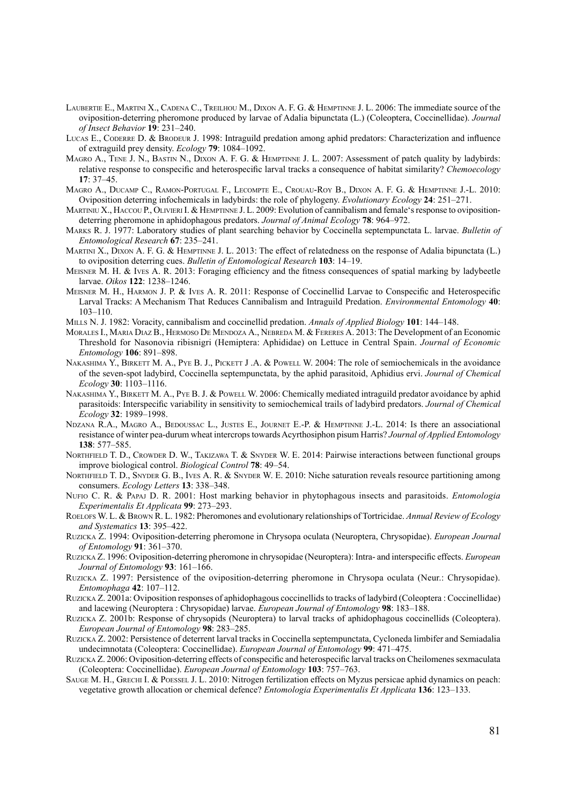- Laubertie E., Martini X., Cadena C., Treilhou M., Dixon A. F. G. & Hemptinne J. L. 2006: The immediate source of the oviposition-deterring pheromone produced by larvae of Adalia bipunctata (L.) (Coleoptera, Coccinellidae). *Journal of Insect Behavior* **19**: 231–240.
- Lucas E., Coderre D. & Brodeur J. 1998: Intraguild predation among aphid predators: Characterization and influence of extraguild prey density. *Ecology* **79**: 1084–1092.
- MAGRO A., TENE J. N., BASTIN N., DIXON A. F. G. & HEMPTINNE J. L. 2007: Assessment of patch quality by ladybirds: relative response to conspecific and heterospecific larval tracks a consequence of habitat similarity? *Chemoecology* **17**: 37–45.
- Magro A., Ducamp C., Ramon-Portugal F., Lecompte E., Crouau-Roy B., Dixon A. F. G. & Hemptinne J.-L. 2010: Oviposition deterring infochemicals in ladybirds: the role of phylogeny. *Evolutionary Ecology* **24**: 251–271.
- Martiniu X., Haccou P., Olivieri I. & Hemptinne J. L. 2009: Evolution of cannibalism and female's response to ovipositiondeterring pheromone in aphidophagous predators. *Journal of Animal Ecology* **78**: 964–972.
- Marks R. J. 1977: Laboratory studies of plant searching behavior by Coccinella septempunctata L. larvae. *Bulletin of Entomological Research* **67**: 235–241.
- Martini X., Dixon A. F. G. & Hemptinne J. L. 2013: The effect of relatedness on the response of Adalia bipunctata (L.) to oviposition deterring cues. *Bulletin of Entomological Research* **103**: 14–19.
- Meisner M. H. & Ives A. R. 2013: Foraging efficiency and the fitness consequences of spatial marking by ladybeetle larvae. *Oikos* **122**: 1238–1246.
- Meisner M. H., Harmon J. P. & Ives A. R. 2011: Response of Coccinellid Larvae to Conspecific and Heterospecific Larval Tracks: A Mechanism That Reduces Cannibalism and Intraguild Predation. *Environmental Entomology* **40**: 103–110.
- Mills N. J. 1982: Voracity, cannibalism and coccinellid predation. *Annals of Applied Biology* **101**: 144–148.
- Morales I., Maria Diaz B., Hermoso De Mendoza A., Nebreda M. & Fereres A. 2013: The Development of an Economic Threshold for Nasonovia ribisnigri (Hemiptera: Aphididae) on Lettuce in Central Spain. *Journal of Economic Entomology* **106**: 891–898.
- NAKASHIMA Y., BIRKETT M. A., PYE B. J., PICKETT J. A. & POWELL W. 2004: The role of semiochemicals in the avoidance of the seven-spot ladybird, Coccinella septempunctata, by the aphid parasitoid, Aphidius ervi. *Journal of Chemical Ecology* **30**: 1103–1116.
- NAKASHIMA Y., BIRKETT M. A., PYE B. J. & POWELL W. 2006: Chemically mediated intraguild predator avoidance by aphid parasitoids: Interspecific variability in sensitivity to semiochemical trails of ladybird predators. *Journal of Chemical Ecology* **32**: 1989–1998.
- Ndzana R.A., Magro A., Bedoussac L., Justes E., Journet E.-P. & Hemptinne J.-L. 2014: Is there an associational resistance of winter pea-durum wheat intercrops towards Acyrthosiphon pisum Harris? *Journal of Applied Entomology*  **138**: 577–585.
- NORTHFIELD T. D., CROWDER D. W., TAKIZAWA T. & SNYDER W. E. 2014: Pairwise interactions between functional groups improve biological control. *Biological Control* **78**: 49–54.
- NORTHFIELD T. D., SNYDER G. B., IVES A. R. & SNYDER W. E. 2010: Niche saturation reveals resource partitioning among consumers. *Ecology Letters* **13**: 338–348.
- Nufio C. R. & Papaj D. R. 2001: Host marking behavior in phytophagous insects and parasitoids. *Entomologia Experimentalis Et Applicata* **99**: 273–293.
- Roelofs W. L. & Brown R. L. 1982: Pheromones and evolutionary relationships of Tortricidae. *Annual Review of Ecology and Systematics* **13**: 395–422.
- Ruzicka Z. 1994: Oviposition-deterring pheromone in Chrysopa oculata (Neuroptera, Chrysopidae). *European Journal of Entomology* **91**: 361–370.
- Ruzicka Z. 1996: Oviposition-deterring pheromone in chrysopidae (Neuroptera): Intra- and interspecific effects. *European Journal of Entomology* **93**: 161–166.
- Ruzicka Z. 1997: Persistence of the oviposition-deterring pheromone in Chrysopa oculata (Neur.: Chrysopidae). *Entomophaga* **42**: 107–112.
- Ruzicka Z. 2001a: Oviposition responses of aphidophagous coccinellids to tracks of ladybird (Coleoptera : Coccinellidae) and lacewing (Neuroptera : Chrysopidae) larvae. *European Journal of Entomology* **98**: 183–188.
- Ruzicka Z. 2001b: Response of chrysopids (Neuroptera) to larval tracks of aphidophagous coccinellids (Coleoptera). *European Journal of Entomology* **98**: 283–285.
- Ruzicka Z. 2002: Persistence of deterrent larval tracks in Coccinella septempunctata, Cycloneda limbifer and Semiadalia undecimnotata (Coleoptera: Coccinellidae). *European Journal of Entomology* **99**: 471–475.
- Ruzicka Z. 2006: Oviposition-deterring effects of conspecific and heterospecific larval tracks on Cheilomenes sexmaculata (Coleoptera: Coccinellidae). *European Journal of Entomology* **103**: 757–763.
- SAUGE M. H., GRECHI I. & POESSEL J. L. 2010: Nitrogen fertilization effects on Myzus persicae aphid dynamics on peach: vegetative growth allocation or chemical defence? *Entomologia Experimentalis Et Applicata* **136**: 123–133.